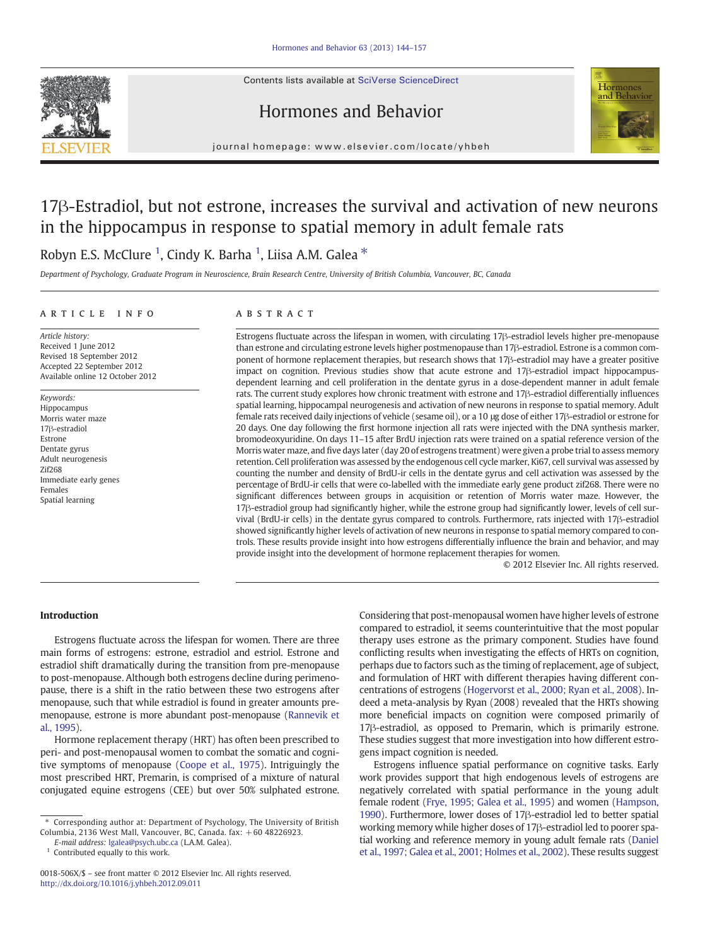Contents lists available at SciVerse ScienceDirect







journal homepage: www.elsevier.com/locate/yhbeh

# 17β-Estradiol, but not estrone, increases the survival and activation of new neurons in the hippocampus in response to spatial memory in adult female rats

## Robyn E.S. McClure <sup>1</sup>, Cindy K. Barha <sup>1</sup>, Liisa A.M. Galea \*

Department of Psychology, Graduate Program in Neuroscience, Brain Research Centre, University of British Columbia, Vancouver, BC, Canada

## ARTICLE INFO ABSTRACT

Article history: Received 1 June 2012 Revised 18 September 2012 Accepted 22 September 2012 Available online 12 October 2012

Keywords: Hippocampus Morris water maze 17β-estradiol Estrone Dentate gyrus Adult neurogenesis Zif268 Immediate early genes Females Spatial learning

Estrogens fluctuate across the lifespan in women, with circulating 17β-estradiol levels higher pre-menopause than estrone and circulating estrone levels higher postmenopause than 17β-estradiol. Estrone is a common component of hormone replacement therapies, but research shows that 17β-estradiol may have a greater positive impact on cognition. Previous studies show that acute estrone and 17β-estradiol impact hippocampusdependent learning and cell proliferation in the dentate gyrus in a dose-dependent manner in adult female rats. The current study explores how chronic treatment with estrone and 17β-estradiol differentially influences spatial learning, hippocampal neurogenesis and activation of new neurons in response to spatial memory. Adult female rats received daily injections of vehicle (sesame oil), or a 10 μg dose of either 17β-estradiol or estrone for 20 days. One day following the first hormone injection all rats were injected with the DNA synthesis marker, bromodeoxyuridine. On days 11–15 after BrdU injection rats were trained on a spatial reference version of the Morris water maze, and five days later (day 20 of estrogens treatment) were given a probe trial to assess memory retention. Cell proliferation was assessed by the endogenous cell cycle marker, Ki67, cell survival was assessed by counting the number and density of BrdU-ir cells in the dentate gyrus and cell activation was assessed by the percentage of BrdU-ir cells that were co-labelled with the immediate early gene product zif268. There were no significant differences between groups in acquisition or retention of Morris water maze. However, the 17β-estradiol group had significantly higher, while the estrone group had significantly lower, levels of cell survival (BrdU-ir cells) in the dentate gyrus compared to controls. Furthermore, rats injected with 17β-estradiol showed significantly higher levels of activation of new neurons in response to spatial memory compared to controls. These results provide insight into how estrogens differentially influence the brain and behavior, and may provide insight into the development of hormone replacement therapies for women.

© 2012 Elsevier Inc. All rights reserved.

## Introduction

Estrogens fluctuate across the lifespan for women. There are three main forms of estrogens: estrone, estradiol and estriol. Estrone and estradiol shift dramatically during the transition from pre-menopause to post-menopause. Although both estrogens decline during perimenopause, there is a shift in the ratio between these two estrogens after menopause, such that while estradiol is found in greater amounts premenopause, estrone is more abundant post-menopause ([Rannevik et](#page--1-0) [al., 1995](#page--1-0)).

Hormone replacement therapy (HRT) has often been prescribed to peri- and post-menopausal women to combat the somatic and cognitive symptoms of menopause ([Coope et al., 1975](#page--1-0)). Intriguingly the most prescribed HRT, Premarin, is comprised of a mixture of natural conjugated equine estrogens (CEE) but over 50% sulphated estrone.

Considering that post-menopausal women have higher levels of estrone compared to estradiol, it seems counterintuitive that the most popular therapy uses estrone as the primary component. Studies have found conflicting results when investigating the effects of HRTs on cognition, perhaps due to factors such as the timing of replacement, age of subject, and formulation of HRT with different therapies having different concentrations of estrogens [\(Hogervorst et al., 2000; Ryan et al., 2008](#page--1-0)). Indeed a meta-analysis by Ryan (2008) revealed that the HRTs showing more beneficial impacts on cognition were composed primarily of 17β-estradiol, as opposed to Premarin, which is primarily estrone. These studies suggest that more investigation into how different estrogens impact cognition is needed.

Estrogens influence spatial performance on cognitive tasks. Early work provides support that high endogenous levels of estrogens are negatively correlated with spatial performance in the young adult female rodent [\(Frye, 1995; Galea et al., 1995](#page--1-0)) and women ([Hampson,](#page--1-0) [1990\)](#page--1-0). Furthermore, lower doses of 17β-estradiol led to better spatial working memory while higher doses of 17β-estradiol led to poorer spatial working and reference memory in young adult female rats [\(Daniel](#page--1-0) [et al., 1997; Galea et al., 2001; Holmes et al., 2002\)](#page--1-0). These results suggest

<sup>⁎</sup> Corresponding author at: Department of Psychology, The University of British Columbia, 2136 West Mall, Vancouver, BC, Canada. fax: +60 48226923.

E-mail address: [lgalea@psych.ubc.ca](mailto:lgalea@psych.ubc.ca) (L.A.M. Galea).

 $1$  Contributed equally to this work.

<sup>0018-506</sup>X/\$ – see front matter © 2012 Elsevier Inc. All rights reserved. <http://dx.doi.org/10.1016/j.yhbeh.2012.09.011>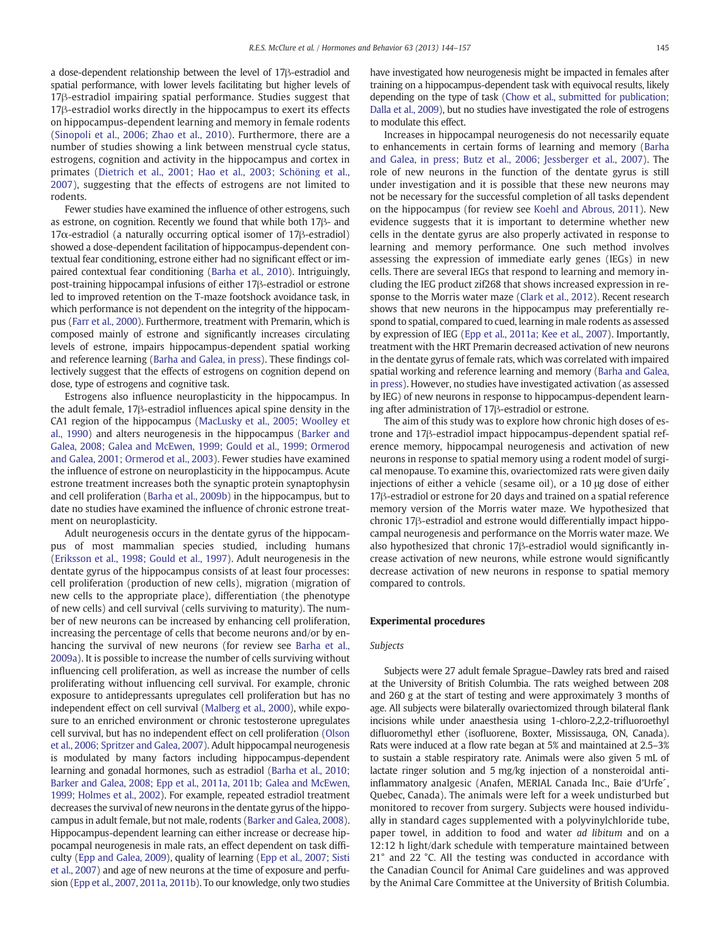a dose-dependent relationship between the level of 17β-estradiol and spatial performance, with lower levels facilitating but higher levels of 17β-estradiol impairing spatial performance. Studies suggest that 17β-estradiol works directly in the hippocampus to exert its effects on hippocampus-dependent learning and memory in female rodents [\(Sinopoli et al., 2006; Zhao et al., 2010](#page--1-0)). Furthermore, there are a number of studies showing a link between menstrual cycle status, estrogens, cognition and activity in the hippocampus and cortex in primates ([Dietrich et al., 2001; Hao et al., 2003; Schöning et al.,](#page--1-0) [2007](#page--1-0)), suggesting that the effects of estrogens are not limited to rodents.

Fewer studies have examined the influence of other estrogens, such as estrone, on cognition. Recently we found that while both 17β- and 17α-estradiol (a naturally occurring optical isomer of 17β-estradiol) showed a dose-dependent facilitation of hippocampus-dependent contextual fear conditioning, estrone either had no significant effect or impaired contextual fear conditioning [\(Barha et al., 2010\)](#page--1-0). Intriguingly, post-training hippocampal infusions of either 17β-estradiol or estrone led to improved retention on the T-maze footshock avoidance task, in which performance is not dependent on the integrity of the hippocampus ([Farr et al., 2000](#page--1-0)). Furthermore, treatment with Premarin, which is composed mainly of estrone and significantly increases circulating levels of estrone, impairs hippocampus-dependent spatial working and reference learning ([Barha and Galea, in press\)](http://dx.doi.org/). These findings collectively suggest that the effects of estrogens on cognition depend on dose, type of estrogens and cognitive task.

Estrogens also influence neuroplasticity in the hippocampus. In the adult female, 17β-estradiol influences apical spine density in the CA1 region of the hippocampus [\(MacLusky et al., 2005; Woolley et](#page--1-0) [al., 1990\)](#page--1-0) and alters neurogenesis in the hippocampus [\(Barker and](#page--1-0) [Galea, 2008; Galea and McEwen, 1999; Gould et al., 1999; Ormerod](#page--1-0) [and Galea, 2001; Ormerod et al., 2003](#page--1-0)). Fewer studies have examined the influence of estrone on neuroplasticity in the hippocampus. Acute estrone treatment increases both the synaptic protein synaptophysin and cell proliferation ([Barha et al., 2009b\)](#page--1-0) in the hippocampus, but to date no studies have examined the influence of chronic estrone treatment on neuroplasticity.

Adult neurogenesis occurs in the dentate gyrus of the hippocampus of most mammalian species studied, including humans [\(Eriksson et al., 1998; Gould et al., 1997\)](#page--1-0). Adult neurogenesis in the dentate gyrus of the hippocampus consists of at least four processes: cell proliferation (production of new cells), migration (migration of new cells to the appropriate place), differentiation (the phenotype of new cells) and cell survival (cells surviving to maturity). The number of new neurons can be increased by enhancing cell proliferation, increasing the percentage of cells that become neurons and/or by enhancing the survival of new neurons (for review see [Barha et al.,](#page--1-0) [2009a\)](#page--1-0). It is possible to increase the number of cells surviving without influencing cell proliferation, as well as increase the number of cells proliferating without influencing cell survival. For example, chronic exposure to antidepressants upregulates cell proliferation but has no independent effect on cell survival [\(Malberg et al., 2000](#page--1-0)), while exposure to an enriched environment or chronic testosterone upregulates cell survival, but has no independent effect on cell proliferation [\(Olson](#page--1-0) [et al., 2006; Spritzer and Galea, 2007\)](#page--1-0). Adult hippocampal neurogenesis is modulated by many factors including hippocampus-dependent learning and gonadal hormones, such as estradiol ([Barha et al., 2010;](#page--1-0) [Barker and Galea, 2008; Epp et al., 2011a, 2011b; Galea and McEwen,](#page--1-0) [1999; Holmes et al., 2002](#page--1-0)). For example, repeated estradiol treatment decreases the survival of new neurons in the dentate gyrus of the hippocampus in adult female, but not male, rodents ([Barker and Galea, 2008](#page--1-0)). Hippocampus-dependent learning can either increase or decrease hippocampal neurogenesis in male rats, an effect dependent on task difficulty [\(Epp and Galea, 2009](#page--1-0)), quality of learning [\(Epp et al., 2007; Sisti](#page--1-0) [et al., 2007\)](#page--1-0) and age of new neurons at the time of exposure and perfusion [\(Epp et al., 2007, 2011a, 2011b](#page--1-0)). To our knowledge, only two studies

have investigated how neurogenesis might be impacted in females after training on a hippocampus-dependent task with equivocal results, likely depending on the type of task [\(Chow et al., submitted for publication;](#page--1-0) [Dalla et al., 2009](#page--1-0)), but no studies have investigated the role of estrogens to modulate this effect.

Increases in hippocampal neurogenesis do not necessarily equate to enhancements in certain forms of learning and memory ([Barha](http://dx.doi.org/) [and Galea, in press; Butz et al., 2006; Jessberger et al., 2007](http://dx.doi.org/)). The role of new neurons in the function of the dentate gyrus is still under investigation and it is possible that these new neurons may not be necessary for the successful completion of all tasks dependent on the hippocampus (for review see [Koehl and Abrous, 2011\)](#page--1-0). New evidence suggests that it is important to determine whether new cells in the dentate gyrus are also properly activated in response to learning and memory performance. One such method involves assessing the expression of immediate early genes (IEGs) in new cells. There are several IEGs that respond to learning and memory including the IEG product zif268 that shows increased expression in response to the Morris water maze ([Clark et al., 2012\)](#page--1-0). Recent research shows that new neurons in the hippocampus may preferentially respond to spatial, compared to cued, learning in male rodents as assessed by expression of IEG [\(Epp et al., 2011a; Kee et al., 2007\)](#page--1-0). Importantly, treatment with the HRT Premarin decreased activation of new neurons in the dentate gyrus of female rats, which was correlated with impaired spatial working and reference learning and memory ([Barha and Galea,](http://dx.doi.org/) [in press\)](http://dx.doi.org/). However, no studies have investigated activation (as assessed by IEG) of new neurons in response to hippocampus-dependent learning after administration of 17β-estradiol or estrone.

The aim of this study was to explore how chronic high doses of estrone and 17β-estradiol impact hippocampus-dependent spatial reference memory, hippocampal neurogenesis and activation of new neurons in response to spatial memory using a rodent model of surgical menopause. To examine this, ovariectomized rats were given daily injections of either a vehicle (sesame oil), or a 10 μg dose of either 17β-estradiol or estrone for 20 days and trained on a spatial reference memory version of the Morris water maze. We hypothesized that chronic 17β-estradiol and estrone would differentially impact hippocampal neurogenesis and performance on the Morris water maze. We also hypothesized that chronic 17β-estradiol would significantly increase activation of new neurons, while estrone would significantly decrease activation of new neurons in response to spatial memory compared to controls.

#### Experimental procedures

#### Subjects

Subjects were 27 adult female Sprague–Dawley rats bred and raised at the University of British Columbia. The rats weighed between 208 and 260 g at the start of testing and were approximately 3 months of age. All subjects were bilaterally ovariectomized through bilateral flank incisions while under anaesthesia using 1-chloro-2,2,2-trifluoroethyl difluoromethyl ether (isofluorene, Boxter, Mississauga, ON, Canada). Rats were induced at a flow rate began at 5% and maintained at 2.5–3% to sustain a stable respiratory rate. Animals were also given 5 mL of lactate ringer solution and 5 mg/kg injection of a nonsteroidal antiinflammatory analgesic (Anafen, MERIAL Canada Inc., Baie d'Urfe<sup>c</sup>, Quebec, Canada). The animals were left for a week undisturbed but monitored to recover from surgery. Subjects were housed individually in standard cages supplemented with a polyvinylchloride tube, paper towel, in addition to food and water ad libitum and on a 12:12 h light/dark schedule with temperature maintained between 21° and 22 °C. All the testing was conducted in accordance with the Canadian Council for Animal Care guidelines and was approved by the Animal Care Committee at the University of British Columbia.